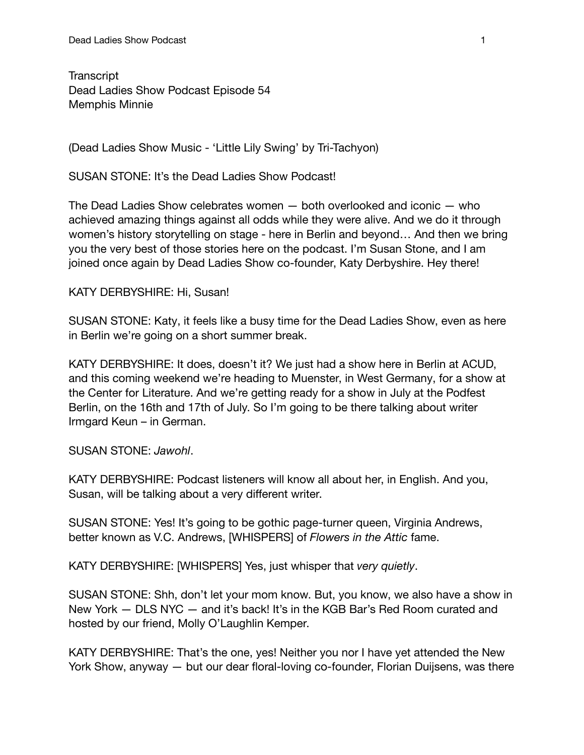**Transcript** Dead Ladies Show Podcast Episode 54 Memphis Minnie

(Dead Ladies Show Music - 'Little Lily Swing' by Tri-Tachyon)

SUSAN STONE: It's the Dead Ladies Show Podcast!

The Dead Ladies Show celebrates women — both overlooked and iconic — who achieved amazing things against all odds while they were alive. And we do it through women's history storytelling on stage - here in Berlin and beyond… And then we bring you the very best of those stories here on the podcast. I'm Susan Stone, and I am joined once again by Dead Ladies Show co-founder, Katy Derbyshire. Hey there!

KATY DERBYSHIRE: Hi, Susan!

SUSAN STONE: Katy, it feels like a busy time for the Dead Ladies Show, even as here in Berlin we're going on a short summer break.

KATY DERBYSHIRE: It does, doesn't it? We just had a show here in Berlin at ACUD, and this coming weekend we're heading to Muenster, in West Germany, for a show at the Center for Literature. And we're getting ready for a show in July at the Podfest Berlin, on the 16th and 17th of July. So I'm going to be there talking about writer Irmgard Keun – in German.

SUSAN STONE: *Jawohl*.

KATY DERBYSHIRE: Podcast listeners will know all about her, in English. And you, Susan, will be talking about a very different writer.

SUSAN STONE: Yes! It's going to be gothic page-turner queen, Virginia Andrews, better known as V.C. Andrews, [WHISPERS] of *Flowers in the Attic* fame.

KATY DERBYSHIRE: [WHISPERS] Yes, just whisper that *very quietly*.

SUSAN STONE: Shh, don't let your mom know. But, you know, we also have a show in New York — DLS NYC — and it's back! It's in the KGB Bar's Red Room curated and hosted by our friend, Molly O'Laughlin Kemper.

KATY DERBYSHIRE: That's the one, yes! Neither you nor I have yet attended the New York Show, anyway — but our dear floral-loving co-founder, Florian Duijsens, was there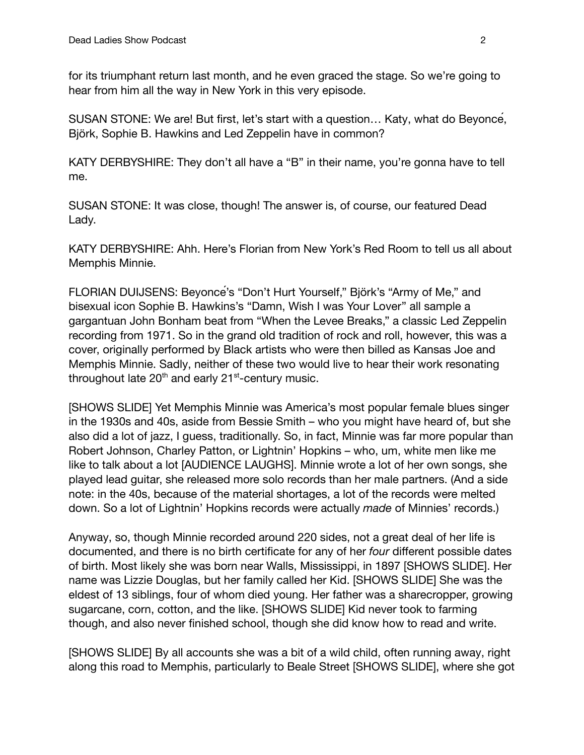for its triumphant return last month, and he even graced the stage. So we're going to hear from him all the way in New York in this very episode.

SUSAN STONE: We are! But first, let's start with a question… Katy, what do Beyoncé, Björk, Sophie B. Hawkins and Led Zeppelin have in common?

KATY DERBYSHIRE: They don't all have a "B" in their name, you're gonna have to tell me.

SUSAN STONE: It was close, though! The answer is, of course, our featured Dead Lady.

KATY DERBYSHIRE: Ahh. Here's Florian from New York's Red Room to tell us all about Memphis Minnie.

FLORIAN DUIJSENS: Beyoncé's "Don't Hurt Yourself," Björk's "Army of Me," and bisexual icon Sophie B. Hawkins's "Damn, Wish I was Your Lover" all sample a gargantuan John Bonham beat from "When the Levee Breaks," a classic Led Zeppelin recording from 1971. So in the grand old tradition of rock and roll, however, this was a cover, originally performed by Black artists who were then billed as Kansas Joe and Memphis Minnie. Sadly, neither of these two would live to hear their work resonating throughout late 20<sup>th</sup> and early 21<sup>st</sup>-century music.

[SHOWS SLIDE] Yet Memphis Minnie was America's most popular female blues singer in the 1930s and 40s, aside from Bessie Smith – who you might have heard of, but she also did a lot of jazz, I guess, traditionally. So, in fact, Minnie was far more popular than Robert Johnson, Charley Patton, or Lightnin' Hopkins – who, um, white men like me like to talk about a lot [AUDIENCE LAUGHS]. Minnie wrote a lot of her own songs, she played lead guitar, she released more solo records than her male partners. (And a side note: in the 40s, because of the material shortages, a lot of the records were melted down. So a lot of Lightnin' Hopkins records were actually *made* of Minnies' records.)

Anyway, so, though Minnie recorded around 220 sides, not a great deal of her life is documented, and there is no birth certificate for any of her *four* different possible dates of birth. Most likely she was born near Walls, Mississippi, in 1897 [SHOWS SLIDE]. Her name was Lizzie Douglas, but her family called her Kid. [SHOWS SLIDE] She was the eldest of 13 siblings, four of whom died young. Her father was a sharecropper, growing sugarcane, corn, cotton, and the like. [SHOWS SLIDE] Kid never took to farming though, and also never finished school, though she did know how to read and write.

[SHOWS SLIDE] By all accounts she was a bit of a wild child, often running away, right along this road to Memphis, particularly to Beale Street [SHOWS SLIDE], where she got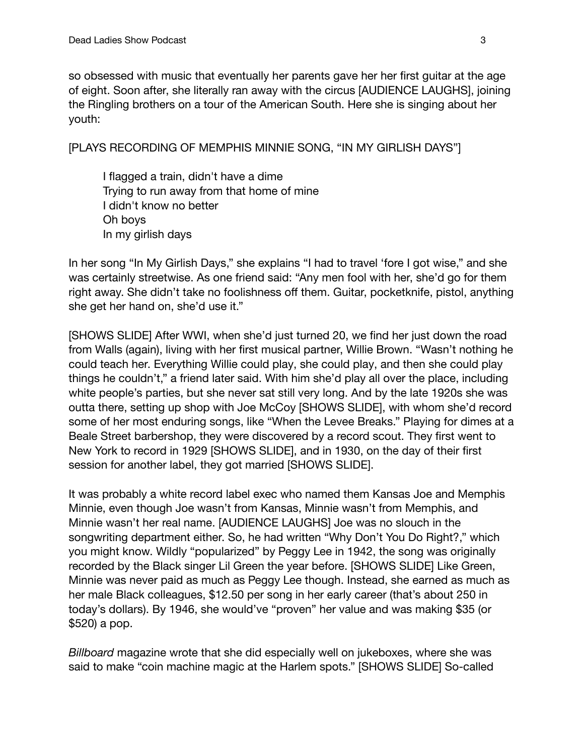so obsessed with music that eventually her parents gave her her first guitar at the age of eight. Soon after, she literally ran away with the circus [AUDIENCE LAUGHS], joining the Ringling brothers on a tour of the American South. Here she is singing about her youth:

[PLAYS RECORDING OF MEMPHIS MINNIE SONG, "IN MY GIRLISH DAYS"]

I flagged a train, didn't have a dime Trying to run away from that home of mine I didn't know no better Oh boys In my girlish days

In her song "In My Girlish Days," she explains "I had to travel 'fore I got wise," and she was certainly streetwise. As one friend said: "Any men fool with her, she'd go for them right away. She didn't take no foolishness off them. Guitar, pocketknife, pistol, anything she get her hand on, she'd use it."

[SHOWS SLIDE] After WWI, when she'd just turned 20, we find her just down the road from Walls (again), living with her first musical partner, Willie Brown. "Wasn't nothing he could teach her. Everything Willie could play, she could play, and then she could play things he couldn't," a friend later said. With him she'd play all over the place, including white people's parties, but she never sat still very long. And by the late 1920s she was outta there, setting up shop with Joe McCoy [SHOWS SLIDE], with whom she'd record some of her most enduring songs, like "When the Levee Breaks." Playing for dimes at a Beale Street barbershop, they were discovered by a record scout. They first went to New York to record in 1929 [SHOWS SLIDE], and in 1930, on the day of their first session for another label, they got married [SHOWS SLIDE].

It was probably a white record label exec who named them Kansas Joe and Memphis Minnie, even though Joe wasn't from Kansas, Minnie wasn't from Memphis, and Minnie wasn't her real name. [AUDIENCE LAUGHS] Joe was no slouch in the songwriting department either. So, he had written "Why Don't You Do Right?," which you might know. Wildly "popularized" by Peggy Lee in 1942, the song was originally recorded by the Black singer Lil Green the year before. [SHOWS SLIDE] Like Green, Minnie was never paid as much as Peggy Lee though. Instead, she earned as much as her male Black colleagues, \$12.50 per song in her early career (that's about 250 in today's dollars). By 1946, she would've "proven" her value and was making \$35 (or \$520) a pop.

*Billboard* magazine wrote that she did especially well on jukeboxes, where she was said to make "coin machine magic at the Harlem spots." [SHOWS SLIDE] So-called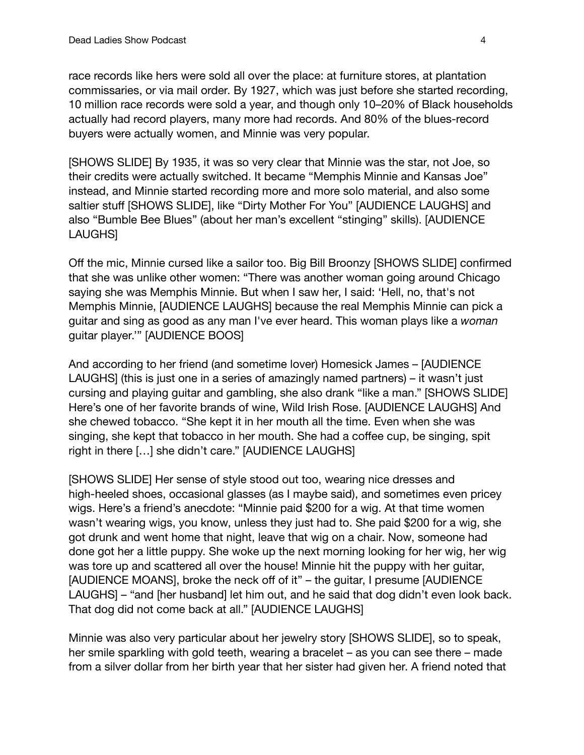race records like hers were sold all over the place: at furniture stores, at plantation commissaries, or via mail order. By 1927, which was just before she started recording, 10 million race records were sold a year, and though only 10–20% of Black households actually had record players, many more had records. And 80% of the blues-record buyers were actually women, and Minnie was very popular.

[SHOWS SLIDE] By 1935, it was so very clear that Minnie was the star, not Joe, so their credits were actually switched. It became "Memphis Minnie and Kansas Joe" instead, and Minnie started recording more and more solo material, and also some saltier stuff [SHOWS SLIDE], like "Dirty Mother For You" [AUDIENCE LAUGHS] and also "Bumble Bee Blues" (about her man's excellent "stinging" skills). [AUDIENCE LAUGHS]

Off the mic, Minnie cursed like a sailor too. Big Bill Broonzy [SHOWS SLIDE] confirmed that she was unlike other women: "There was another woman going around Chicago saying she was Memphis Minnie. But when I saw her, I said: 'Hell, no, that's not Memphis Minnie, [AUDIENCE LAUGHS] because the real Memphis Minnie can pick a guitar and sing as good as any man I've ever heard. This woman plays like a *woman* guitar player.'" [AUDIENCE BOOS]

And according to her friend (and sometime lover) Homesick James – [AUDIENCE LAUGHS] (this is just one in a series of amazingly named partners) – it wasn't just cursing and playing guitar and gambling, she also drank "like a man." [SHOWS SLIDE] Here's one of her favorite brands of wine, Wild Irish Rose. [AUDIENCE LAUGHS] And she chewed tobacco. "She kept it in her mouth all the time. Even when she was singing, she kept that tobacco in her mouth. She had a coffee cup, be singing, spit right in there […] she didn't care." [AUDIENCE LAUGHS]

[SHOWS SLIDE] Her sense of style stood out too, wearing nice dresses and high-heeled shoes, occasional glasses (as I maybe said), and sometimes even pricey wigs. Here's a friend's anecdote: "Minnie paid \$200 for a wig. At that time women wasn't wearing wigs, you know, unless they just had to. She paid \$200 for a wig, she got drunk and went home that night, leave that wig on a chair. Now, someone had done got her a little puppy. She woke up the next morning looking for her wig, her wig was tore up and scattered all over the house! Minnie hit the puppy with her guitar, [AUDIENCE MOANS], broke the neck off of it" – the guitar, I presume [AUDIENCE LAUGHS] – "and [her husband] let him out, and he said that dog didn't even look back. That dog did not come back at all." [AUDIENCE LAUGHS]

Minnie was also very particular about her jewelry story [SHOWS SLIDE], so to speak, her smile sparkling with gold teeth, wearing a bracelet – as you can see there – made from a silver dollar from her birth year that her sister had given her. A friend noted that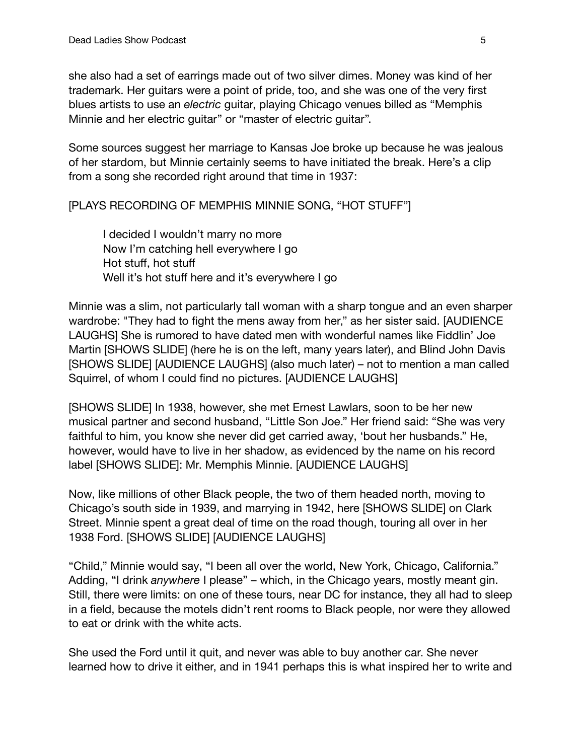she also had a set of earrings made out of two silver dimes. Money was kind of her trademark. Her guitars were a point of pride, too, and she was one of the very first blues artists to use an *electric* guitar, playing Chicago venues billed as "Memphis Minnie and her electric guitar" or "master of electric guitar".

Some sources suggest her marriage to Kansas Joe broke up because he was jealous of her stardom, but Minnie certainly seems to have initiated the break. Here's a clip from a song she recorded right around that time in 1937:

[PLAYS RECORDING OF MEMPHIS MINNIE SONG, "HOT STUFF"]

I decided I wouldn't marry no more Now I'm catching hell everywhere I go Hot stuff, hot stuff Well it's hot stuff here and it's everywhere I go

Minnie was a slim, not particularly tall woman with a sharp tongue and an even sharper wardrobe: "They had to fight the mens away from her," as her sister said. [AUDIENCE LAUGHS] She is rumored to have dated men with wonderful names like Fiddlin' Joe Martin [SHOWS SLIDE] (here he is on the left, many years later), and Blind John Davis [SHOWS SLIDE] [AUDIENCE LAUGHS] (also much later) – not to mention a man called Squirrel, of whom I could find no pictures. [AUDIENCE LAUGHS]

[SHOWS SLIDE] In 1938, however, she met Ernest Lawlars, soon to be her new musical partner and second husband, "Little Son Joe." Her friend said: "She was very faithful to him, you know she never did get carried away, 'bout her husbands." He, however, would have to live in her shadow, as evidenced by the name on his record label [SHOWS SLIDE]: Mr. Memphis Minnie. [AUDIENCE LAUGHS]

Now, like millions of other Black people, the two of them headed north, moving to Chicago's south side in 1939, and marrying in 1942, here [SHOWS SLIDE] on Clark Street. Minnie spent a great deal of time on the road though, touring all over in her 1938 Ford. [SHOWS SLIDE] [AUDIENCE LAUGHS]

"Child," Minnie would say, "I been all over the world, New York, Chicago, California." Adding, "I drink *anywhere* I please" – which, in the Chicago years, mostly meant gin. Still, there were limits: on one of these tours, near DC for instance, they all had to sleep in a field, because the motels didn't rent rooms to Black people, nor were they allowed to eat or drink with the white acts.

She used the Ford until it quit, and never was able to buy another car. She never learned how to drive it either, and in 1941 perhaps this is what inspired her to write and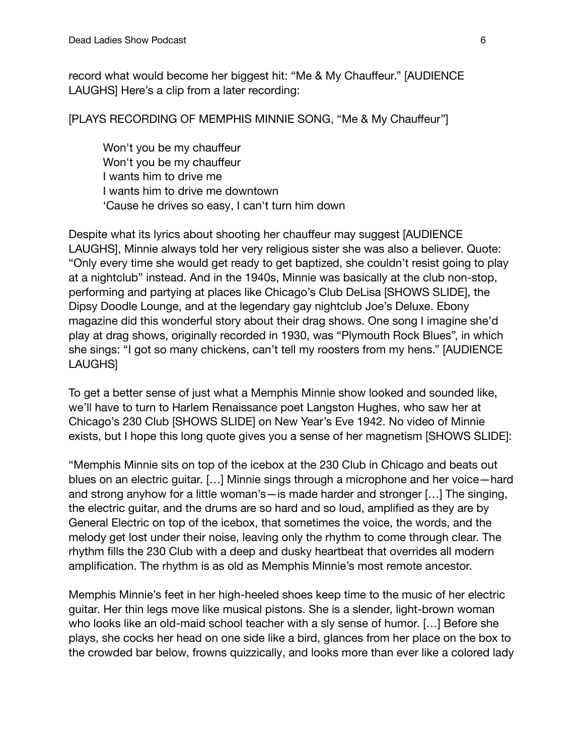record what would become her biggest hit: "Me & My Chauffeur." [AUDIENCE LAUGHS] Here's a clip from a later recording:

[PLAYS RECORDING OF MEMPHIS MINNIE SONG, "Me & My Chauffeur"]

Won't you be my chauffeur Won't you be my chauffeur I wants him to drive me I wants him to drive me downtown 'Cause he drives so easy, I can't turn him down

Despite what its lyrics about shooting her chauffeur may suggest [AUDIENCE LAUGHS], Minnie always told her very religious sister she was also a believer. Quote: "Only every time she would get ready to get baptized, she couldn't resist going to play at a nightclub" instead. And in the 1940s, Minnie was basically at the club non-stop, performing and partying at places like Chicago's Club DeLisa [SHOWS SLIDE], the Dipsy Doodle Lounge, and at the legendary gay nightclub Joe's Deluxe. Ebony magazine did this wonderful story about their drag shows. One song I imagine she'd play at drag shows, originally recorded in 1930, was "Plymouth Rock Blues", in which she sings: "I got so many chickens, can't tell my roosters from my hens." [AUDIENCE LAUGHS]

To get a better sense of just what a Memphis Minnie show looked and sounded like, we'll have to turn to Harlem Renaissance poet Langston Hughes, who saw her at Chicago's 230 Club [SHOWS SLIDE] on New Year's Eve 1942. No video of Minnie exists, but I hope this long quote gives you a sense of her magnetism [SHOWS SLIDE]:

"Memphis Minnie sits on top of the icebox at the 230 Club in Chicago and beats out blues on an electric guitar. […] Minnie sings through a microphone and her voice—hard and strong anyhow for a little woman's—is made harder and stronger […] The singing, the electric guitar, and the drums are so hard and so loud, amplified as they are by General Electric on top of the icebox, that sometimes the voice, the words, and the melody get lost under their noise, leaving only the rhythm to come through clear. The rhythm fills the 230 Club with a deep and dusky heartbeat that overrides all modern amplification. The rhythm is as old as Memphis Minnie's most remote ancestor.

Memphis Minnie's feet in her high-heeled shoes keep time to the music of her electric guitar. Her thin legs move like musical pistons. She is a slender, light-brown woman who looks like an old-maid school teacher with a sly sense of humor. […] Before she plays, she cocks her head on one side like a bird, glances from her place on the box to the crowded bar below, frowns quizzically, and looks more than ever like a colored lady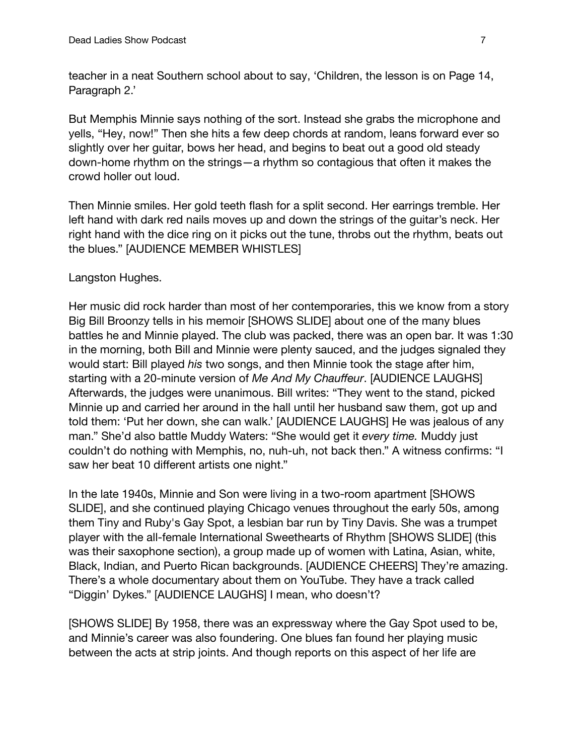teacher in a neat Southern school about to say, 'Children, the lesson is on Page 14, Paragraph 2.'

But Memphis Minnie says nothing of the sort. Instead she grabs the microphone and yells, "Hey, now!" Then she hits a few deep chords at random, leans forward ever so slightly over her guitar, bows her head, and begins to beat out a good old steady down-home rhythm on the strings—a rhythm so contagious that often it makes the crowd holler out loud.

Then Minnie smiles. Her gold teeth flash for a split second. Her earrings tremble. Her left hand with dark red nails moves up and down the strings of the guitar's neck. Her right hand with the dice ring on it picks out the tune, throbs out the rhythm, beats out the blues." [AUDIENCE MEMBER WHISTLES]

## Langston Hughes.

Her music did rock harder than most of her contemporaries, this we know from a story Big Bill Broonzy tells in his memoir [SHOWS SLIDE] about one of the many blues battles he and Minnie played. The club was packed, there was an open bar. It was 1:30 in the morning, both Bill and Minnie were plenty sauced, and the judges signaled they would start: Bill played *his* two songs, and then Minnie took the stage after him, starting with a 20-minute version of *Me And My Chauffeur*. [AUDIENCE LAUGHS] Afterwards, the judges were unanimous. Bill writes: "They went to the stand, picked Minnie up and carried her around in the hall until her husband saw them, got up and told them: 'Put her down, she can walk.' [AUDIENCE LAUGHS] He was jealous of any man." She'd also battle Muddy Waters: "She would get it *every time.* Muddy just couldn't do nothing with Memphis, no, nuh-uh, not back then." A witness confirms: "I saw her beat 10 different artists one night."

In the late 1940s, Minnie and Son were living in a two-room apartment [SHOWS SLIDE], and she continued playing Chicago venues throughout the early 50s, among them Tiny and Ruby's Gay Spot, a lesbian bar run by Tiny Davis. She was a trumpet player with the all-female International Sweethearts of Rhythm [SHOWS SLIDE] (this was their saxophone section), a group made up of women with Latina, Asian, white, Black, Indian, and Puerto Rican backgrounds. [AUDIENCE CHEERS] They're amazing. There's a whole documentary about them on YouTube. They have a track called "Diggin' Dykes." [AUDIENCE LAUGHS] I mean, who doesn't?

[SHOWS SLIDE] By 1958, there was an expressway where the Gay Spot used to be, and Minnie's career was also foundering. One blues fan found her playing music between the acts at strip joints. And though reports on this aspect of her life are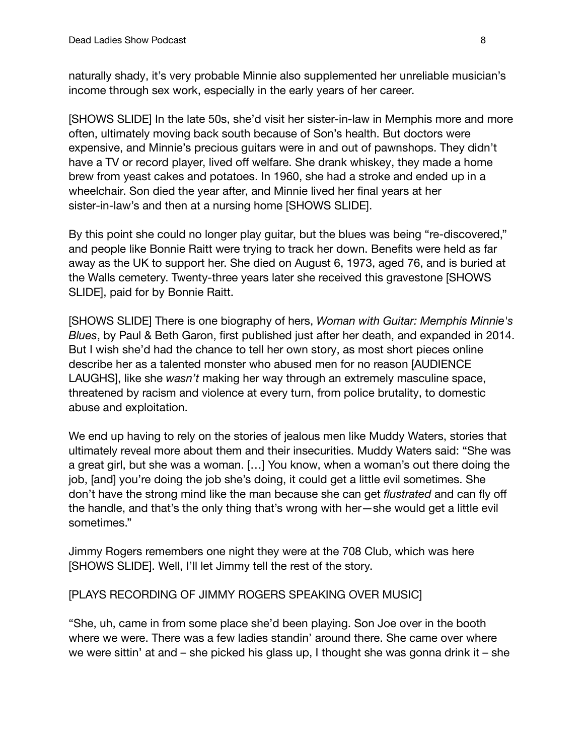naturally shady, it's very probable Minnie also supplemented her unreliable musician's income through sex work, especially in the early years of her career.

[SHOWS SLIDE] In the late 50s, she'd visit her sister-in-law in Memphis more and more often, ultimately moving back south because of Son's health. But doctors were expensive, and Minnie's precious guitars were in and out of pawnshops. They didn't have a TV or record player, lived off welfare. She drank whiskey, they made a home brew from yeast cakes and potatoes. In 1960, she had a stroke and ended up in a wheelchair. Son died the year after, and Minnie lived her final years at her sister-in-law's and then at a nursing home [SHOWS SLIDE].

By this point she could no longer play guitar, but the blues was being "re-discovered," and people like Bonnie Raitt were trying to track her down. Benefits were held as far away as the UK to support her. She died on August 6, 1973, aged 76, and is buried at the Walls cemetery. Twenty-three years later she received this gravestone [SHOWS SLIDE], paid for by Bonnie Raitt.

[SHOWS SLIDE] There is one biography of hers, *Woman with Guitar: Memphis Minnie's Blues*, by Paul & Beth Garon, first published just after her death, and expanded in 2014. But I wish she'd had the chance to tell her own story, as most short pieces online describe her as a talented monster who abused men for no reason [AUDIENCE LAUGHS], like she *wasn't* making her way through an extremely masculine space, threatened by racism and violence at every turn, from police brutality, to domestic abuse and exploitation.

We end up having to rely on the stories of jealous men like Muddy Waters, stories that ultimately reveal more about them and their insecurities. Muddy Waters said: "She was a great girl, but she was a woman. […] You know, when a woman's out there doing the job, [and] you're doing the job she's doing, it could get a little evil sometimes. She don't have the strong mind like the man because she can get *flustrated* and can fly off the handle, and that's the only thing that's wrong with her—she would get a little evil sometimes."

Jimmy Rogers remembers one night they were at the 708 Club, which was here [SHOWS SLIDE]. Well, I'll let Jimmy tell the rest of the story.

## [PLAYS RECORDING OF JIMMY ROGERS SPEAKING OVER MUSIC]

"She, uh, came in from some place she'd been playing. Son Joe over in the booth where we were. There was a few ladies standin' around there. She came over where we were sittin' at and – she picked his glass up, I thought she was gonna drink it – she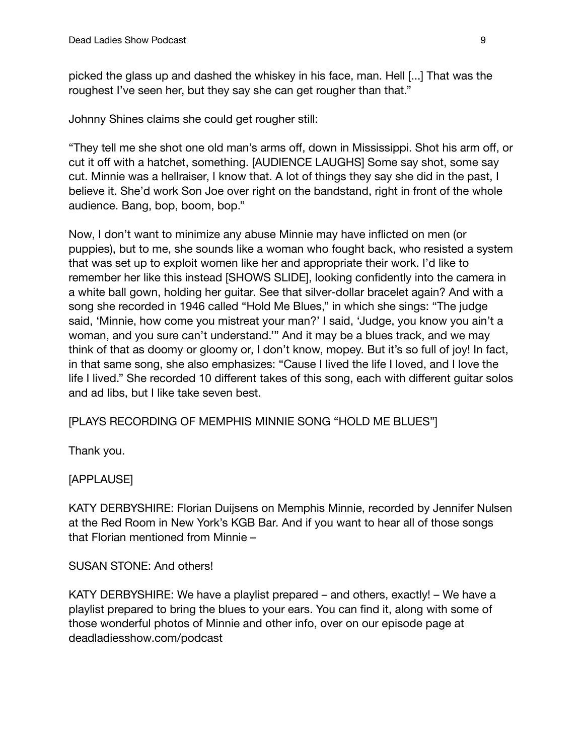picked the glass up and dashed the whiskey in his face, man. Hell [...] That was the roughest I've seen her, but they say she can get rougher than that."

Johnny Shines claims she could get rougher still:

"They tell me she shot one old man's arms off, down in Mississippi. Shot his arm off, or cut it off with a hatchet, something. [AUDIENCE LAUGHS] Some say shot, some say cut. Minnie was a hellraiser, I know that. A lot of things they say she did in the past, I believe it. She'd work Son Joe over right on the bandstand, right in front of the whole audience. Bang, bop, boom, bop."

Now, I don't want to minimize any abuse Minnie may have inflicted on men (or puppies), but to me, she sounds like a woman who fought back, who resisted a system that was set up to exploit women like her and appropriate their work. I'd like to remember her like this instead [SHOWS SLIDE], looking confidently into the camera in a white ball gown, holding her guitar. See that silver-dollar bracelet again? And with a song she recorded in 1946 called "Hold Me Blues," in which she sings: "The judge said, 'Minnie, how come you mistreat your man?' I said, 'Judge, you know you ain't a woman, and you sure can't understand.'" And it may be a blues track, and we may think of that as doomy or gloomy or, I don't know, mopey. But it's so full of joy! In fact, in that same song, she also emphasizes: "Cause I lived the life I loved, and I love the life I lived." She recorded 10 different takes of this song, each with different guitar solos and ad libs, but I like take seven best.

[PLAYS RECORDING OF MEMPHIS MINNIE SONG "HOLD ME BLUES"]

Thank you.

[APPLAUSE]

KATY DERBYSHIRE: Florian Duijsens on Memphis Minnie, recorded by Jennifer Nulsen at the Red Room in New York's KGB Bar. And if you want to hear all of those songs that Florian mentioned from Minnie –

## SUSAN STONE: And others!

KATY DERBYSHIRE: We have a playlist prepared – and others, exactly! – We have a playlist prepared to bring the blues to your ears. You can find it, along with some of those wonderful photos of Minnie and other info, over on our episode page at [deadladiesshow.com/podcast](http://deadladiesshow.com/podcast)